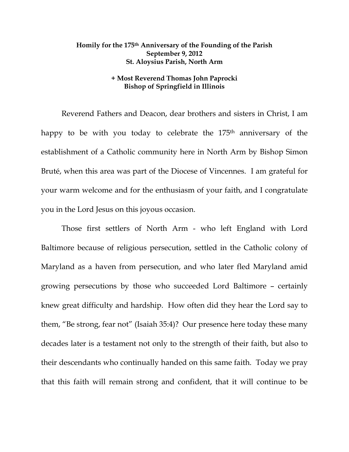## **Homily for the 175th Anniversary of the Founding of the Parish September 9, 2012 St. Aloysius Parish, North Arm**

## **+ Most Reverend Thomas John Paprocki Bishop of Springfield in Illinois**

Reverend Fathers and Deacon, dear brothers and sisters in Christ, I am happy to be with you today to celebrate the 175<sup>th</sup> anniversary of the establishment of a Catholic community here in North Arm by Bishop Simon Bruté, when this area was part of the Diocese of Vincennes. I am grateful for your warm welcome and for the enthusiasm of your faith, and I congratulate you in the Lord Jesus on this joyous occasion.

Those first settlers of North Arm - who left England with Lord Baltimore because of religious persecution, settled in the Catholic colony of Maryland as a haven from persecution, and who later fled Maryland amid growing persecutions by those who succeeded Lord Baltimore – certainly knew great difficulty and hardship. How often did they hear the Lord say to them, "Be strong, fear not" (Isaiah 35:4)? Our presence here today these many decades later is a testament not only to the strength of their faith, but also to their descendants who continually handed on this same faith. Today we pray that this faith will remain strong and confident, that it will continue to be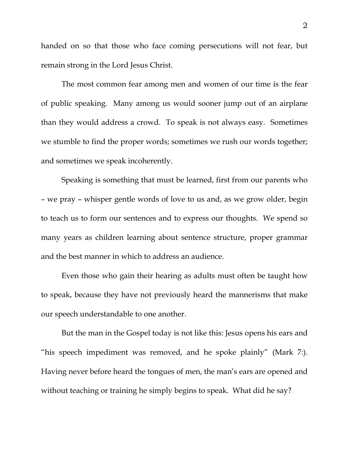handed on so that those who face coming persecutions will not fear, but remain strong in the Lord Jesus Christ.

The most common fear among men and women of our time is the fear of public speaking. Many among us would sooner jump out of an airplane than they would address a crowd. To speak is not always easy. Sometimes we stumble to find the proper words; sometimes we rush our words together; and sometimes we speak incoherently.

Speaking is something that must be learned, first from our parents who – we pray – whisper gentle words of love to us and, as we grow older, begin to teach us to form our sentences and to express our thoughts. We spend so many years as children learning about sentence structure, proper grammar and the best manner in which to address an audience.

Even those who gain their hearing as adults must often be taught how to speak, because they have not previously heard the mannerisms that make our speech understandable to one another.

But the man in the Gospel today is not like this: Jesus opens his ears and "his speech impediment was removed, and he spoke plainly" (Mark 7:). Having never before heard the tongues of men, the man's ears are opened and without teaching or training he simply begins to speak. What did he say?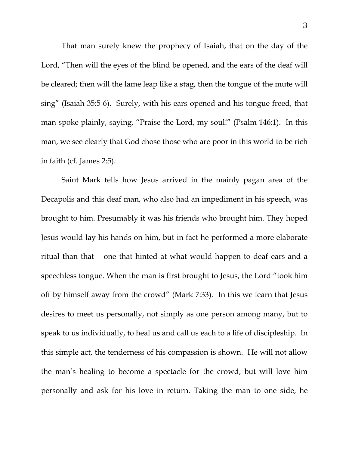That man surely knew the prophecy of Isaiah, that on the day of the Lord, "Then will the eyes of the blind be opened, and the ears of the deaf will be cleared; then will the lame leap like a stag, then the tongue of the mute will sing" (Isaiah 35:5-6). Surely, with his ears opened and his tongue freed, that man spoke plainly, saying, "Praise the Lord, my soul!" (Psalm 146:1). In this man, we see clearly that God chose those who are poor in this world to be rich in faith (cf. James 2:5).

 Saint Mark tells how Jesus arrived in the mainly pagan area of the Decapolis and this deaf man, who also had an impediment in his speech, was brought to him. Presumably it was his friends who brought him. They hoped Jesus would lay his hands on him, but in fact he performed a more elaborate ritual than that – one that hinted at what would happen to deaf ears and a speechless tongue. When the man is first brought to Jesus, the Lord "took him off by himself away from the crowd" (Mark 7:33). In this we learn that Jesus desires to meet us personally, not simply as one person among many, but to speak to us individually, to heal us and call us each to a life of discipleship. In this simple act, the tenderness of his compassion is shown. He will not allow the man's healing to become a spectacle for the crowd, but will love him personally and ask for his love in return. Taking the man to one side, he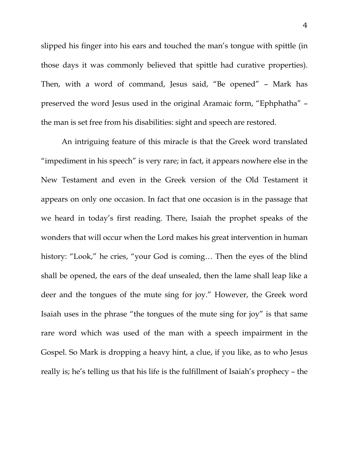slipped his finger into his ears and touched the man's tongue with spittle (in those days it was commonly believed that spittle had curative properties). Then, with a word of command, Jesus said, "Be opened" – Mark has preserved the word Jesus used in the original Aramaic form, "Ephphatha" – the man is set free from his disabilities: sight and speech are restored.

 An intriguing feature of this miracle is that the Greek word translated "impediment in his speech" is very rare; in fact, it appears nowhere else in the New Testament and even in the Greek version of the Old Testament it appears on only one occasion. In fact that one occasion is in the passage that we heard in today's first reading. There, Isaiah the prophet speaks of the wonders that will occur when the Lord makes his great intervention in human history: "Look," he cries, "your God is coming... Then the eyes of the blind shall be opened, the ears of the deaf unsealed, then the lame shall leap like a deer and the tongues of the mute sing for joy." However, the Greek word Isaiah uses in the phrase "the tongues of the mute sing for joy" is that same rare word which was used of the man with a speech impairment in the Gospel. So Mark is dropping a heavy hint, a clue, if you like, as to who Jesus really is; he's telling us that his life is the fulfillment of Isaiah's prophecy – the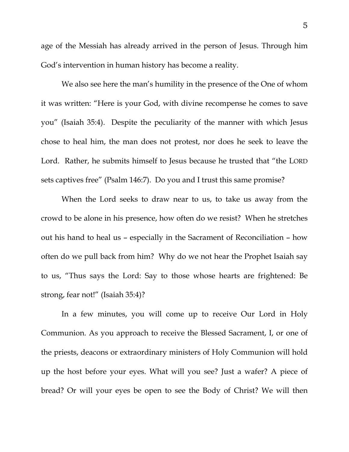age of the Messiah has already arrived in the person of Jesus. Through him God's intervention in human history has become a reality.

We also see here the man's humility in the presence of the One of whom it was written: "Here is your God, with divine recompense he comes to save you" (Isaiah 35:4). Despite the peculiarity of the manner with which Jesus chose to heal him, the man does not protest, nor does he seek to leave the Lord. Rather, he submits himself to Jesus because he trusted that "the LORD sets captives free" (Psalm 146:7). Do you and I trust this same promise?

When the Lord seeks to draw near to us, to take us away from the crowd to be alone in his presence, how often do we resist? When he stretches out his hand to heal us – especially in the Sacrament of Reconciliation – how often do we pull back from him? Why do we not hear the Prophet Isaiah say to us, "Thus says the Lord: Say to those whose hearts are frightened: Be strong, fear not!" (Isaiah 35:4)?

In a few minutes, you will come up to receive Our Lord in Holy Communion. As you approach to receive the Blessed Sacrament, I, or one of the priests, deacons or extraordinary ministers of Holy Communion will hold up the host before your eyes. What will you see? Just a wafer? A piece of bread? Or will your eyes be open to see the Body of Christ? We will then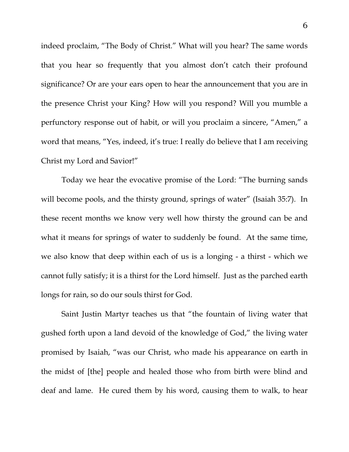indeed proclaim, "The Body of Christ." What will you hear? The same words that you hear so frequently that you almost don't catch their profound significance? Or are your ears open to hear the announcement that you are in the presence Christ your King? How will you respond? Will you mumble a perfunctory response out of habit, or will you proclaim a sincere, "Amen," a word that means, "Yes, indeed, it's true: I really do believe that I am receiving Christ my Lord and Savior!"

Today we hear the evocative promise of the Lord: "The burning sands will become pools, and the thirsty ground, springs of water" (Isaiah 35:7). In these recent months we know very well how thirsty the ground can be and what it means for springs of water to suddenly be found. At the same time, we also know that deep within each of us is a longing - a thirst - which we cannot fully satisfy; it is a thirst for the Lord himself. Just as the parched earth longs for rain, so do our souls thirst for God.

Saint Justin Martyr teaches us that "the fountain of living water that gushed forth upon a land devoid of the knowledge of God," the living water promised by Isaiah, "was our Christ, who made his appearance on earth in the midst of [the] people and healed those who from birth were blind and deaf and lame. He cured them by his word, causing them to walk, to hear